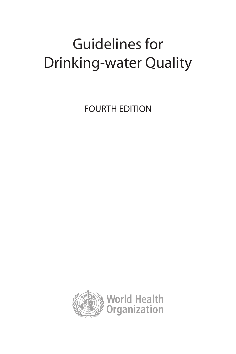## Guidelines for Drinking-water Quality

FOURTH EDITION

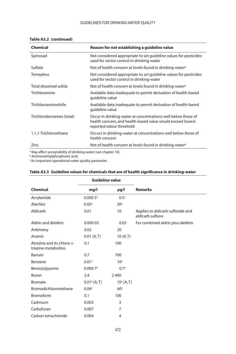## GUIDELINES FOR DRINKING-WATER QUALITY

| Table A3.2 (continued) |  |
|------------------------|--|
|------------------------|--|

| <b>Chemical</b>           | Reason for not establishing a guideline value                                                                                                           |
|---------------------------|---------------------------------------------------------------------------------------------------------------------------------------------------------|
| Spinosad                  | Not considered appropriate to set quideline values for pesticides<br>used for vector control in drinking-water                                          |
| Sulfate                   | Not of health concern at levels found in drinking-water <sup>a</sup>                                                                                    |
| Temephos                  | Not considered appropriate to set quideline values for pesticides<br>used for vector control in drinking-water                                          |
| Total dissolved solids    | Not of health concern at levels found in drinking-water <sup>a</sup>                                                                                    |
| Trichloramine             | Available data inadequate to permit derivation of health-based<br>guideline value                                                                       |
| Trichloroacetonitrile     | Available data inadequate to permit derivation of health-based<br>guideline value                                                                       |
| Trichlorobenzenes (total) | Occur in drinking-water at concentrations well below those of<br>health concern, and health-based value would exceed lowest<br>reported odour threshold |
| 1,1,1-Trichloroethane     | Occurs in drinking-water at concentrations well below those of<br>health concern                                                                        |
| Zinc                      | Not of health concern at levels found in drinking-water <sup>a</sup>                                                                                    |
|                           |                                                                                                                                                         |

a May affect acceptability of drinking-water (see chapter 10). b Aminomethylphosphonic acid.

c An important operational water quality parameter.

| Table A3.3 Guideline values for chemicals that are of health significance in drinking-water |  |
|---------------------------------------------------------------------------------------------|--|
|---------------------------------------------------------------------------------------------|--|

|                                                    | <b>Guideline value</b> |                     |                                                       |
|----------------------------------------------------|------------------------|---------------------|-------------------------------------------------------|
| <b>Chemical</b>                                    | mg/l                   | $\mu$ g/l           | <b>Remarks</b>                                        |
| Acrylamide                                         | $0.0005$ <sup>a</sup>  | 0.5 <sup>a</sup>    |                                                       |
| Alachlor                                           | 0.02 <sup>a</sup>      | 20 <sup>a</sup>     |                                                       |
| Aldicarb                                           | 0.01                   | 10                  | Applies to aldicarb sulfoxide and<br>aldicarb sulfone |
| Aldrin and dieldrin                                | 0.000 03               | 0.03                | For combined aldrin plus dieldrin                     |
| Antimony                                           | 0.02                   | 20                  |                                                       |
| Arsenic                                            | 0.01 (A, T)            | 10(A,T)             |                                                       |
| Atrazine and its chloro-s-<br>triazine metabolites | 0.1                    | 100                 |                                                       |
| <b>Barium</b>                                      | 0.7                    | 700                 |                                                       |
| Benzene                                            | 0.01 <sup>a</sup>      | 10 <sup>a</sup>     |                                                       |
| Benzo[a]pyrene                                     | $0.0007$ <sup>a</sup>  | 0.7 <sup>a</sup>    |                                                       |
| Boron                                              | 2.4                    | 2 4 0 0             |                                                       |
| <b>Bromate</b>                                     | $0.01a$ (A, T)         | $10^{\circ}$ (A, T) |                                                       |
| Bromodichloromethane                               | 0.06 <sup>a</sup>      | 60 <sup>a</sup>     |                                                       |
| Bromoform                                          | 0.1                    | 100                 |                                                       |
| Cadmium                                            | 0.003                  | 3                   |                                                       |
| Carbofuran                                         | 0.007                  | 7                   |                                                       |
| Carbon tetrachloride                               | 0.004                  | 4                   |                                                       |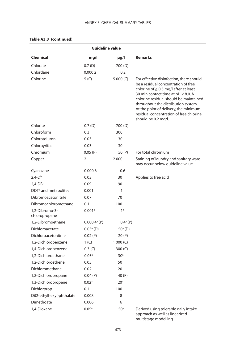|                                  | <b>Guideline value</b>    |                   |                                                                                                                                                                                                                                                                                                                                                                 |
|----------------------------------|---------------------------|-------------------|-----------------------------------------------------------------------------------------------------------------------------------------------------------------------------------------------------------------------------------------------------------------------------------------------------------------------------------------------------------------|
| <b>Chemical</b>                  | mg/l                      | µg/l              | <b>Remarks</b>                                                                                                                                                                                                                                                                                                                                                  |
| Chlorate                         | 0.7(D)                    | 700 (D)           |                                                                                                                                                                                                                                                                                                                                                                 |
| Chlordane                        | 0.0002                    | 0.2               |                                                                                                                                                                                                                                                                                                                                                                 |
| Chlorine                         | 5 <sup>(C)</sup>          | 5 000 (C)         | For effective disinfection, there should<br>be a residual concentration of free<br>chlorine of $\geq$ 0.5 mg/l after at least<br>30 min contact time at pH < 8.0. A<br>chlorine residual should be maintained<br>throughout the distribution system.<br>At the point of delivery, the minimum<br>residual concentration of free chlorine<br>should be 0.2 mg/l. |
| Chlorite                         | 0.7(D)                    | 700 (D)           |                                                                                                                                                                                                                                                                                                                                                                 |
| Chloroform                       | 0.3                       | 300               |                                                                                                                                                                                                                                                                                                                                                                 |
| Chlorotoluron                    | 0.03                      | 30                |                                                                                                                                                                                                                                                                                                                                                                 |
| Chlorpyrifos                     | 0.03                      | 30                |                                                                                                                                                                                                                                                                                                                                                                 |
| Chromium                         | 0.05(P)                   | 50 (P)            | For total chromium                                                                                                                                                                                                                                                                                                                                              |
| Copper                           | 2                         | 2 0 0 0           | Staining of laundry and sanitary ware<br>may occur below guideline value                                                                                                                                                                                                                                                                                        |
| Cyanazine                        | 0.0006                    | 0.6               |                                                                                                                                                                                                                                                                                                                                                                 |
| $2,4-Db$                         | 0.03                      | 30                | Applies to free acid                                                                                                                                                                                                                                                                                                                                            |
| $2,4$ -DBc                       | 0.09                      | 90                |                                                                                                                                                                                                                                                                                                                                                                 |
| DDT <sup>d</sup> and metabolites | 0.001                     | 1                 |                                                                                                                                                                                                                                                                                                                                                                 |
| Dibromoacetonitrile              | 0.07                      | 70                |                                                                                                                                                                                                                                                                                                                                                                 |
| Dibromochloromethane             | 0.1                       | 100               |                                                                                                                                                                                                                                                                                                                                                                 |
| 1,2-Dibromo-3-<br>chloropropane  | $0.001$ <sup>a</sup>      | 1 <sup>a</sup>    |                                                                                                                                                                                                                                                                                                                                                                 |
| 1,2-Dibromoethane                | $0.0004$ <sup>a</sup> (P) | $0.4^{\circ}$ (P) |                                                                                                                                                                                                                                                                                                                                                                 |
| Dichloroacetate                  | $0.05^{\circ}$ (D)        | $50^{\circ}$ (D)  |                                                                                                                                                                                                                                                                                                                                                                 |
| Dichloroacetonitrile             | 0.02(P)                   | 20 (P)            |                                                                                                                                                                                                                                                                                                                                                                 |
| 1,2-Dichlorobenzene              | 1 <sup>(C)</sup>          | 1 000 $(C)$       |                                                                                                                                                                                                                                                                                                                                                                 |
| 1.4-Dichlorobenzene              | 0.3 (C)                   | 300 (C)           |                                                                                                                                                                                                                                                                                                                                                                 |
| 1,2-Dichloroethane               | 0.03 <sup>a</sup>         | 30 <sup>a</sup>   |                                                                                                                                                                                                                                                                                                                                                                 |
| 1,2-Dichloroethene               | 0.05                      | 50                |                                                                                                                                                                                                                                                                                                                                                                 |
| Dichloromethane                  | 0.02                      | 20                |                                                                                                                                                                                                                                                                                                                                                                 |
| 1,2-Dichloropropane              | 0.04(P)                   | 40 (P)            |                                                                                                                                                                                                                                                                                                                                                                 |
| 1,3-Dichloropropene              | $0.02^{\circ}$            | 20 <sup>a</sup>   |                                                                                                                                                                                                                                                                                                                                                                 |
| Dichlorprop                      | 0.1                       | 100               |                                                                                                                                                                                                                                                                                                                                                                 |
| Di(2-ethylhexyl)phthalate        | 0.008                     | 8                 |                                                                                                                                                                                                                                                                                                                                                                 |
| Dimethoate                       | 0.006                     | 6                 |                                                                                                                                                                                                                                                                                                                                                                 |
| 1,4-Dioxane                      | $0.05^{\circ}$            | 50 <sup>a</sup>   | Derived using tolerable daily intake<br>approach as well as linearized<br>multistage modelling                                                                                                                                                                                                                                                                  |

## **Table A3.3 (continued)**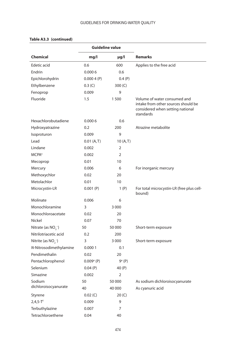|                          | <b>Guideline value</b>   |           |                                                                                                                      |
|--------------------------|--------------------------|-----------|----------------------------------------------------------------------------------------------------------------------|
| <b>Chemical</b>          | mg/l                     | $\mu$ g/l | <b>Remarks</b>                                                                                                       |
| Edetic acid              | 0.6                      | 600       | Applies to the free acid                                                                                             |
| Endrin                   | 0.0006                   | 0.6       |                                                                                                                      |
| Epichlorohydrin          | 0.0004(P)                | 0.4(P)    |                                                                                                                      |
| Ethylbenzene             | 0.3 (C)                  | 300 (C)   |                                                                                                                      |
| Fenoprop                 | 0.009                    | 9         |                                                                                                                      |
| Fluoride                 | 1.5                      | 1500      | Volume of water consumed and<br>intake from other sources should be<br>considered when setting national<br>standards |
| Hexachlorobutadiene      | 0.0006                   | 0.6       |                                                                                                                      |
| Hydroxyatrazine          | 0.2                      | 200       | Atrazine metabolite                                                                                                  |
| Isoproturon              | 0.009                    | 9         |                                                                                                                      |
| Lead                     | 0.01(A, T)               | 10(A, T)  |                                                                                                                      |
| Lindane                  | 0.002                    | 2         |                                                                                                                      |
| <b>MCPA</b> <sup>e</sup> | 0.002                    | 2         |                                                                                                                      |
| Mecoprop                 | 0.01                     | 10        |                                                                                                                      |
| Mercury                  | 0.006                    | 6         | For inorganic mercury                                                                                                |
| Methoxychlor             | 0.02                     | 20        |                                                                                                                      |
| Metolachlor              | 0.01                     | 10        |                                                                                                                      |
| Microcystin-LR           | 0.001(P)                 | 1(P)      | For total microcystin-LR (free plus cell-<br>bound)                                                                  |
| Molinate                 | 0.006                    | 6         |                                                                                                                      |
| Monochloramine           | 3                        | 3 0 0 0   |                                                                                                                      |
| Monochloroacetate        | 0.02                     | 20        |                                                                                                                      |
| Nickel                   | 0.07                     | 70        |                                                                                                                      |
| Nitrate (as $NO3-$ )     | 50                       | 50 000    | Short-term exposure                                                                                                  |
| Nitrilotriacetic acid    | 0.2                      | 200       |                                                                                                                      |
| Nitrite (as $NO2$ )      | 3                        | 3 0 0 0   | Short-term exposure                                                                                                  |
| N-Nitrosodimethylamine   | 0.0001                   | 0.1       |                                                                                                                      |
| Pendimethalin            | 0.02                     | 20        |                                                                                                                      |
| Pentachlorophenol        | $0.009$ <sup>a</sup> (P) | 9ª (P)    |                                                                                                                      |
| Selenium                 | 0.04(P)                  | 40 (P)    |                                                                                                                      |
| Simazine                 | 0.002                    | 2         |                                                                                                                      |
| Sodium                   | 50                       | 50 000    | As sodium dichloroisocyanurate                                                                                       |
| dichloroisocyanurate     | 40                       | 40 000    | As cyanuric acid                                                                                                     |
| Styrene                  | 0.02 (C)                 | 20 (C)    |                                                                                                                      |
| $2,4,5-T$                | 0.009                    | 9         |                                                                                                                      |
| Terbuthylazine           | 0.007                    | 7         |                                                                                                                      |
| Tetrachloroethene        | 0.04                     | 40        |                                                                                                                      |

## **Table A3.3 (continued)**